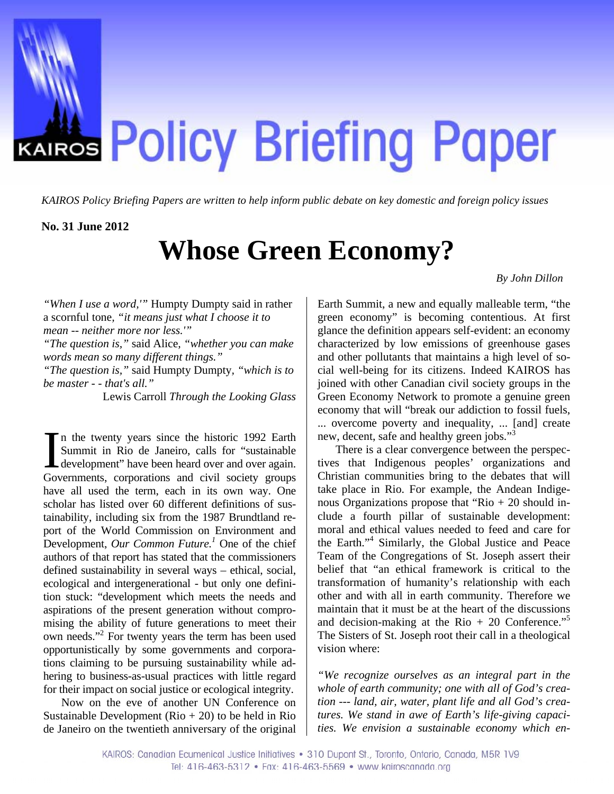

*KAIROS Policy Briefing Papers are written to help inform public debate on key domestic and foreign policy issues*

#### **No. 31 June 2012**

# **Whose Green Economy?**

*By John Dillon* 

*"When I use a word,'"* Humpty Dumpty said in rather a scornful tone*, "it means just what I choose it to mean -- neither more nor less.'" "The question is,"* said Alice*, "whether you can make words mean so many different things." "The question is,"* said Humpty Dumpty*, "which is to be master - - that's all."* 

Lewis Carroll *Through the Looking Glass*

n the twenty years since the historic 1992 Earth Summit in Rio de Janeiro, calls for "sustainable In the twenty years since the historic 1992 Earth<br>
Summit in Rio de Janeiro, calls for "sustainable<br>
development" have been heard over and over again.<br>
Gevenwents, corporations and civil society groups Governments, corporations and civil society groups have all used the term, each in its own way. One scholar has listed over 60 different definitions of sustainability, including six from the 1987 Brundtland report of the World Commission on Environment and Development, *Our Common Future*.<sup>[1](#page-7-0)</sup> One of the chief authors of that report has stated that the commissioners defined sustainability in several ways – ethical, social, ecological and intergenerational - but only one definition stuck: "development which meets the needs and aspirations of the present generation without compromising the ability of future generations to meet their own needs."[2](#page-7-1) For twenty years the term has been used opportunistically by some governments and corporations claiming to be pursuing sustainability while adhering to business-as-usual practices with little regard for their impact on social justice or ecological integrity.

Now on the eve of another UN Conference on Sustainable Development  $(Rio + 20)$  to be held in Rio de Janeiro on the twentieth anniversary of the original

Earth Summit, a new and equally malleable term, "the green economy" is becoming contentious. At first glance the definition appears self-evident: an economy characterized by low emissions of greenhouse gases and other pollutants that maintains a high level of social well-being for its citizens. Indeed KAIROS has joined with other Canadian civil society groups in the Green Economy Network to promote a genuine green economy that will "break our addiction to fossil fuels, ... overcome poverty and inequality, ... [and] create new, decent, safe and healthy green jobs."[3](#page-7-2)

There is a clear convergence between the perspectives that Indigenous peoples' organizations and Christian communities bring to the debates that will take place in Rio. For example, the Andean Indigenous Organizations propose that "Rio  $+ 20$  should include a fourth pillar of sustainable development: moral and ethical values needed to feed and care for the Earth.["4](#page-7-3) Similarly, the Global Justice and Peace Team of the Congregations of St. Joseph assert their belief that "an ethical framework is critical to the transformation of humanity's relationship with each other and with all in earth community. Therefore we maintain that it must be at the heart of the discussions and decision-making at the Rio  $+20$  Conference."<sup>5</sup> The Sisters of St. Joseph root their call in a theological vision where:

*"We recognize ourselves as an integral part in the whole of earth community; one with all of God's creation --- land, air, water, plant life and all God's creatures. We stand in awe of Earth's life-giving capacities. We envision a sustainable economy which en-*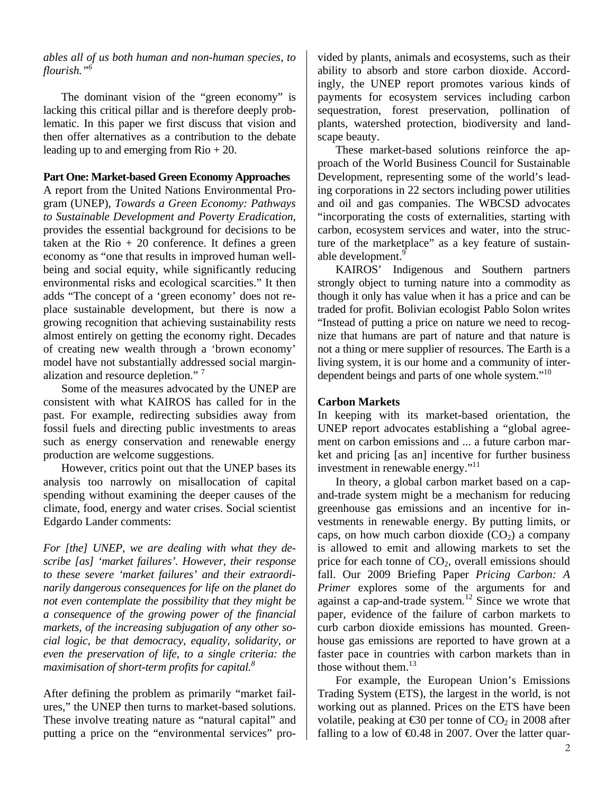*ables all of us both human and non-human species, to flourish."[6](#page-7-5)*

 The dominant vision of the "green economy" is lacking this critical pillar and is therefore deeply problematic. In this paper we first discuss that vision and then offer alternatives as a contribution to the debate leading up to and emerging from  $\text{Rio} + 20$ .

## **Part One: Market-based Green Economy Approaches**

A report from the United Nations Environmental Program (UNEP), *Towards a Green Economy: Pathways to Sustainable Development and Poverty Eradication*, provides the essential background for decisions to be taken at the  $\text{Rio} + 20$  conference. It defines a green economy as "one that results in improved human wellbeing and social equity, while significantly reducing environmental risks and ecological scarcities." It then adds "The concept of a 'green economy' does not replace sustainable development, but there is now a growing recognition that achieving sustainability rests almost entirely on getting the economy right. Decades of creating new wealth through a 'brown economy' model have not substantially addressed social margin-alization and resource depletion."<sup>[7](#page-7-6)</sup>

 Some of the measures advocated by the UNEP are consistent with what KAIROS has called for in the past. For example, redirecting subsidies away from fossil fuels and directing public investments to areas such as energy conservation and renewable energy production are welcome suggestions.

 However, critics point out that the UNEP bases its analysis too narrowly on misallocation of capital spending without examining the deeper causes of the climate, food, energy and water crises. Social scientist Edgardo Lander comments:

*For [the] UNEP, we are dealing with what they describe [as] 'market failures'. However, their response to these severe 'market failures' and their extraordinarily dangerous consequences for life on the planet do not even contemplate the possibility that they might be a consequence of the growing power of the financial markets, of the increasing subjugation of any other social logic, be that democracy, equality, solidarity, or even the preservation of life, to a single criteria: the maximisation of short-term profits for capital.[8](#page-7-7)*

After defining the problem as primarily "market failures," the UNEP then turns to market-based solutions. These involve treating nature as "natural capital" and putting a price on the "environmental services" pro-

vided by plants, animals and ecosystems, such as their ability to absorb and store carbon dioxide. Accordingly, the UNEP report promotes various kinds of payments for ecosystem services including carbon sequestration, forest preservation, pollination of plants, watershed protection, biodiversity and landscape beauty.

 These market-based solutions reinforce the approach of the World Business Council for Sustainable Development, representing some of the world's leading corporations in 22 sectors including power utilities and oil and gas companies. The WBCSD advocates "incorporating the costs of externalities, starting with carbon, ecosystem services and water, into the structure of the marketplace" as a key feature of sustain-able development.<sup>[9](#page-7-8)</sup>

 KAIROS' Indigenous and Southern partners strongly object to turning nature into a commodity as though it only has value when it has a price and can be traded for profit. Bolivian ecologist Pablo Solon writes "Instead of putting a price on nature we need to recognize that humans are part of nature and that nature is not a thing or mere supplier of resources. The Earth is a living system, it is our home and a community of interdependent beings and parts of one whole system."<sup>10</sup>

# **Carbon Markets**

In keeping with its market-based orientation, the UNEP report advocates establishing a "global agreement on carbon emissions and ... a future carbon market and pricing [as an] incentive for further business investment in renewable energy.["11](#page-7-10) 

 In theory, a global carbon market based on a capand-trade system might be a mechanism for reducing greenhouse gas emissions and an incentive for investments in renewable energy. By putting limits, or caps, on how much carbon dioxide  $(CO<sub>2</sub>)$  a company is allowed to emit and allowing markets to set the price for each tonne of  $CO<sub>2</sub>$ , overall emissions should fall. Our 2009 Briefing Paper *Pricing Carbon: A Primer* explores some of the arguments for and against a cap-and-trade system. $12$  Since we wrote that paper, evidence of the failure of carbon markets to curb carbon dioxide emissions has mounted. Greenhouse gas emissions are reported to have grown at a faster pace in countries with carbon markets than in those without them.<sup>[13](#page-7-12)</sup>

 For example, the European Union's Emissions Trading System (ETS), the largest in the world, is not working out as planned. Prices on the ETS have been volatile, peaking at  $\text{\textsterling}30$  per tonne of  $\text{CO}_2$  in 2008 after falling to a low of  $\epsilon 0.48$  in 2007. Over the latter quar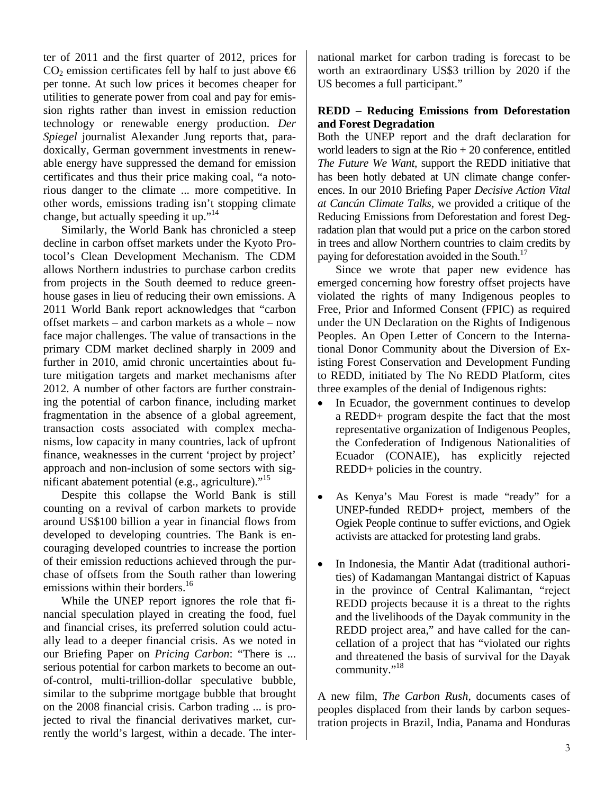ter of 2011 and the first quarter of 2012, prices for  $CO<sub>2</sub>$  emission certificates fell by half to just above  $\bigoplus$ per tonne. At such low prices it becomes cheaper for utilities to generate power from coal and pay for emission rights rather than invest in emission reduction technology or renewable energy production. *Der Spiegel* journalist Alexander Jung reports that, paradoxically, German government investments in renewable energy have suppressed the demand for emission certificates and thus their price making coal, "a notorious danger to the climate ... more competitive. In other words, emissions trading isn't stopping climate change, but actually speeding it up."<sup>[14](#page-7-13)</sup>

 Similarly, the World Bank has chronicled a steep decline in carbon offset markets under the Kyoto Protocol's Clean Development Mechanism. The CDM allows Northern industries to purchase carbon credits from projects in the South deemed to reduce greenhouse gases in lieu of reducing their own emissions. A 2011 World Bank report acknowledges that "carbon offset markets – and carbon markets as a whole – now face major challenges. The value of transactions in the primary CDM market declined sharply in 2009 and further in 2010, amid chronic uncertainties about future mitigation targets and market mechanisms after 2012. A number of other factors are further constraining the potential of carbon finance, including market fragmentation in the absence of a global agreement, transaction costs associated with complex mechanisms, low capacity in many countries, lack of upfront finance, weaknesses in the current 'project by project' approach and non-inclusion of some sectors with significant abatement potential (e.g., agriculture). $15$ 

 Despite this collapse the World Bank is still counting on a revival of carbon markets to provide around US\$100 billion a year in financial flows from developed to developing countries. The Bank is encouraging developed countries to increase the portion of their emission reductions achieved through the purchase of offsets from the South rather than lowering emissions within their borders.<sup>16</sup>

 While the UNEP report ignores the role that financial speculation played in creating the food, fuel and financial crises, its preferred solution could actually lead to a deeper financial crisis. As we noted in our Briefing Paper on *Pricing Carbon*: "There is ... serious potential for carbon markets to become an outof-control, multi-trillion-dollar speculative bubble, similar to the subprime mortgage bubble that brought on the 2008 financial crisis. Carbon trading ... is projected to rival the financial derivatives market, currently the world's largest, within a decade. The international market for carbon trading is forecast to be worth an extraordinary US\$3 trillion by 2020 if the US becomes a full participant."

# **REDD – Reducing Emissions from Deforestation and Forest Degradation**

Both the UNEP report and the draft declaration for world leaders to sign at the  $R$ io + 20 conference, entitled *The Future We Want,* support the REDD initiative that has been hotly debated at UN climate change conferences. In our 2010 Briefing Paper *Decisive Action Vital at Cancún Climate Talks,* we provided a critique of the Reducing Emissions from Deforestation and forest Degradation plan that would put a price on the carbon stored in trees and allow Northern countries to claim credits by paying for deforestation avoided in the South.<sup>17</sup>

 Since we wrote that paper new evidence has emerged concerning how forestry offset projects have violated the rights of many Indigenous peoples to Free, Prior and Informed Consent (FPIC) as required under the UN Declaration on the Rights of Indigenous Peoples. An Open Letter of Concern to the International Donor Community about the Diversion of Existing Forest Conservation and Development Funding to REDD, initiated by The No REDD Platform, cites three examples of the denial of Indigenous rights:

- In Ecuador, the government continues to develop a REDD+ program despite the fact that the most representative organization of Indigenous Peoples, the Confederation of Indigenous Nationalities of Ecuador (CONAIE), has explicitly rejected REDD+ policies in the country.
- As Kenya's Mau Forest is made "ready" for a UNEP-funded REDD+ project, members of the Ogiek People continue to suffer evictions, and Ogiek activists are attacked for protesting land grabs.
- In Indonesia, the Mantir Adat (traditional authorities) of Kadamangan Mantangai district of Kapuas in the province of Central Kalimantan, "reject REDD projects because it is a threat to the rights and the livelihoods of the Dayak community in the REDD project area," and have called for the cancellation of a project that has "violated our rights and threatened the basis of survival for the Dayak community.["18](#page-7-17)

A new film, *The Carbon Rush*, documents cases of peoples displaced from their lands by carbon sequestration projects in Brazil, India, Panama and Honduras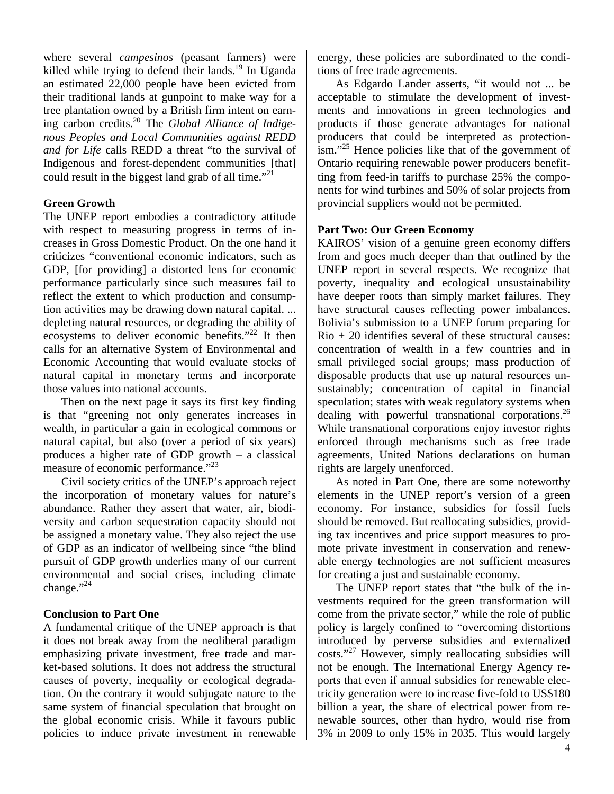where several *campesinos* (peasant farmers) were killed while trying to defend their lands.<sup>19</sup> In Uganda an estimated 22,000 people have been evicted from their traditional lands at gunpoint to make way for a tree plantation owned by a British firm intent on earning carbon credits.[20](#page-7-19) The *Global Alliance of Indigenous Peoples and Local Communities against REDD and for Life* calls REDD a threat "to the survival of Indigenous and forest-dependent communities [that] could result in the biggest land grab of all time."<sup>[21](#page-7-20)</sup>

### **Green Growth**

The UNEP report embodies a contradictory attitude with respect to measuring progress in terms of increases in Gross Domestic Product. On the one hand it criticizes "conventional economic indicators, such as GDP, [for providing] a distorted lens for economic performance particularly since such measures fail to reflect the extent to which production and consumption activities may be drawing down natural capital. ... depleting natural resources, or degrading the ability of ecosystems to deliver economic benefits."<sup>22</sup> It then calls for an alternative System of Environmental and Economic Accounting that would evaluate stocks of natural capital in monetary terms and incorporate those values into national accounts.

 Then on the next page it says its first key finding is that "greening not only generates increases in wealth, in particular a gain in ecological commons or natural capital, but also (over a period of six years) produces a higher rate of GDP growth – a classical measure of economic performance."<sup>23</sup>

 Civil society critics of the UNEP's approach reject the incorporation of monetary values for nature's abundance. Rather they assert that water, air, biodiversity and carbon sequestration capacity should not be assigned a monetary value. They also reject the use of GDP as an indicator of wellbeing since "the blind pursuit of GDP growth underlies many of our current environmental and social crises, including climate change." $^{24}$ 

# **Conclusion to Part One**

A fundamental critique of the UNEP approach is that it does not break away from the neoliberal paradigm emphasizing private investment, free trade and market-based solutions. It does not address the structural causes of poverty, inequality or ecological degradation. On the contrary it would subjugate nature to the same system of financial speculation that brought on the global economic crisis. While it favours public policies to induce private investment in renewable energy, these policies are subordinated to the conditions of free trade agreements.

 As Edgardo Lander asserts, "it would not ... be acceptable to stimulate the development of investments and innovations in green technologies and products if those generate advantages for national producers that could be interpreted as protectionism."[25](#page-7-24) Hence policies like that of the government of Ontario requiring renewable power producers benefitting from feed-in tariffs to purchase 25% the components for wind turbines and 50% of solar projects from provincial suppliers would not be permitted.

## **Part Two: Our Green Economy**

KAIROS' vision of a genuine green economy differs from and goes much deeper than that outlined by the UNEP report in several respects. We recognize that poverty, inequality and ecological unsustainability have deeper roots than simply market failures. They have structural causes reflecting power imbalances. Bolivia's submission to a UNEP forum preparing for  $R$ io + 20 identifies several of these structural causes: concentration of wealth in a few countries and in small privileged social groups; mass production of disposable products that use up natural resources unsustainably; concentration of capital in financial speculation; states with weak regulatory systems when dealing with powerful transnational corporations.  $2<sup>6</sup>$ While transnational corporations enjoy investor rights enforced through mechanisms such as free trade agreements, United Nations declarations on human rights are largely unenforced.

 As noted in Part One, there are some noteworthy elements in the UNEP report's version of a green economy. For instance, subsidies for fossil fuels should be removed. But reallocating subsidies, providing tax incentives and price support measures to promote private investment in conservation and renewable energy technologies are not sufficient measures for creating a just and sustainable economy.

 The UNEP report states that "the bulk of the investments required for the green transformation will come from the private sector," while the role of public policy is largely confined to "overcoming distortions introduced by perverse subsidies and externalized costs.["27](#page-7-26) However, simply reallocating subsidies will not be enough. The International Energy Agency reports that even if annual subsidies for renewable electricity generation were to increase five-fold to US\$180 billion a year, the share of electrical power from renewable sources, other than hydro, would rise from 3% in 2009 to only 15% in 2035. This would largely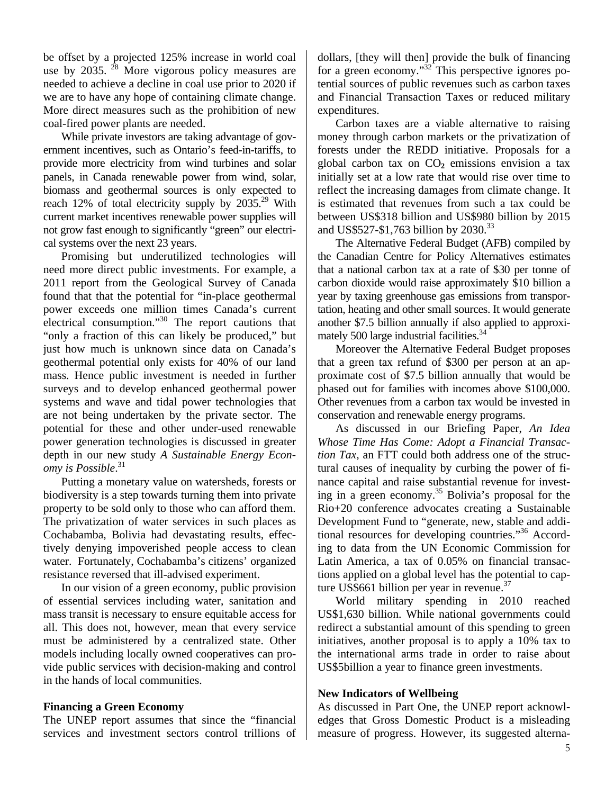be offset by a projected 125% increase in world coal use by  $2035$ . <sup>28</sup> More vigorous policy measures are needed to achieve a decline in coal use prior to 2020 if we are to have any hope of containing climate change. More direct measures such as the prohibition of new coal-fired power plants are needed.

 While private investors are taking advantage of government incentives, such as Ontario's feed-in-tariffs, to provide more electricity from wind turbines and solar panels, in Canada renewable power from wind, solar, biomass and geothermal sources is only expected to reach 12% of total electricity supply by  $2035.^{29}$  With current market incentives renewable power supplies will not grow fast enough to significantly "green" our electrical systems over the next 23 years.

 Promising but underutilized technologies will need more direct public investments. For example, a 2011 report from the Geological Survey of Canada found that that the potential for "in-place geothermal power exceeds one million times Canada's current electrical consumption."[30](#page-7-29) The report cautions that "only a fraction of this can likely be produced," but just how much is unknown since data on Canada's geothermal potential only exists for 40% of our land mass. Hence public investment is needed in further surveys and to develop enhanced geothermal power systems and wave and tidal power technologies that are not being undertaken by the private sector. The potential for these and other under-used renewable power generation technologies is discussed in greater depth in our new study *A Sustainable Energy Economy is Possible*. [31](#page-7-30)

 Putting a monetary value on watersheds, forests or biodiversity is a step towards turning them into private property to be sold only to those who can afford them. The privatization of water services in such places as Cochabamba, Bolivia had devastating results, effectively denying impoverished people access to clean water. Fortunately, Cochabamba's citizens' organized resistance reversed that ill-advised experiment.

 In our vision of a green economy, public provision of essential services including water, sanitation and mass transit is necessary to ensure equitable access for all. This does not, however, mean that every service must be administered by a centralized state. Other models including locally owned cooperatives can provide public services with decision-making and control in the hands of local communities.

### **Financing a Green Economy**

The UNEP report assumes that since the "financial services and investment sectors control trillions of

dollars, [they will then] provide the bulk of financing for a green economy." $32^{\circ}$ This perspective ignores potential sources of public revenues such as carbon taxes and Financial Transaction Taxes or reduced military expenditures.

 Carbon taxes are a viable alternative to raising money through carbon markets or the privatization of forests under the REDD initiative. Proposals for a global carbon tax on CO**2** emissions envision a tax initially set at a low rate that would rise over time to reflect the increasing damages from climate change. It is estimated that revenues from such a tax could be between US\$318 billion and US\$980 billion by 2015 and US\$527-\$1,763 billion by 2030.<sup>33</sup>

 The Alternative Federal Budget (AFB) compiled by the Canadian Centre for Policy Alternatives estimates that a national carbon tax at a rate of \$30 per tonne of carbon dioxide would raise approximately \$10 billion a year by taxing greenhouse gas emissions from transportation, heating and other small sources. It would generate another \$7.5 billion annually if also applied to approximately 500 large industrial facilities.<sup>34</sup>

 Moreover the Alternative Federal Budget proposes that a green tax refund of \$300 per person at an approximate cost of \$7.5 billion annually that would be phased out for families with incomes above \$100,000. Other revenues from a carbon tax would be invested in conservation and renewable energy programs.

 As discussed in our Briefing Paper, *An Idea Whose Time Has Come: Adopt a Financial Transaction Tax,* an FTT could both address one of the structural causes of inequality by curbing the power of finance capital and raise substantial revenue for investing in a green economy[.35](#page-7-34) Bolivia's proposal for the Rio+20 conference advocates creating a Sustainable Development Fund to "generate, new, stable and additional resources for developing countries.["36](#page-7-35) According to data from the UN Economic Commission for Latin America, a tax of 0.05% on financial transactions applied on a global level has the potential to capture US\$661 billion per year in revenue. $37$ 

 World military spending in 2010 reached US\$1,630 billion. While national governments could redirect a substantial amount of this spending to green initiatives, another proposal is to apply a 10% tax to the international arms trade in order to raise about US\$5billion a year to finance green investments.

### **New Indicators of Wellbeing**

As discussed in Part One, the UNEP report acknowledges that Gross Domestic Product is a misleading measure of progress. However, its suggested alterna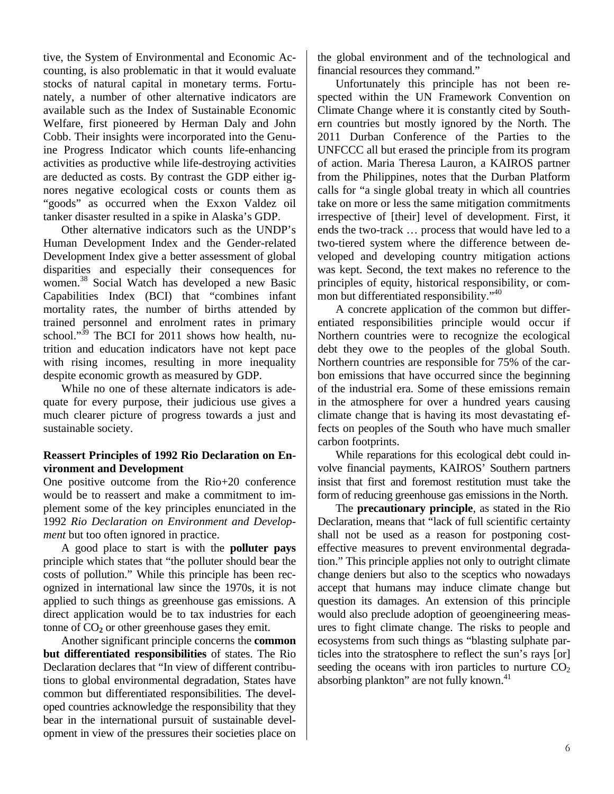tive, the System of Environmental and Economic Accounting, is also problematic in that it would evaluate stocks of natural capital in monetary terms. Fortunately, a number of other alternative indicators are available such as the Index of Sustainable Economic Welfare, first pioneered by Herman Daly and John Cobb. Their insights were incorporated into the Genuine Progress Indicator which counts life-enhancing activities as productive while life-destroying activities are deducted as costs. By contrast the GDP either ignores negative ecological costs or counts them as "goods" as occurred when the Exxon Valdez oil tanker disaster resulted in a spike in Alaska's GDP.

despite economic growth as measured by GDP. Other alternative indicators such as the UNDP's Human Development Index and the Gender-related Development Index give a better assessment of global disparities and especially their consequences for women.<sup>38</sup> Social Watch has developed a new Basic Capabilities Index (BCI) that "combines infant mortality rates, the number of births attended by trained personnel and enrolment rates in prima[ry](#page-7-38)  school." $39$  The BCI for 2011 shows how health, nutrition and education indicators have not kept pace with rising incomes, resulting in more inequality

 While no one of these alternate indicators is adequate for every purpose, their judicious use gives a much clearer picture of progress towards a just and sustainable society.

# **Reassert Principles of 1992 Rio Declaration on Environment and Development**

One positive outcome from the Rio+20 conference would be to reassert and make a commitment to implement some of the key principles enunciated in the 1992 *Rio Declaration on Environment and Development* but too often ignored in practice.

 A good place to start is with the **polluter pays** principle which states that "the polluter should bear the costs of pollution." While this principle has been recognized in international law since the 1970s, it is not applied to such things as greenhouse gas emissions. A direct application would be to tax industries for each tonne of  $CO<sub>2</sub>$  or other greenhouse gases they emit.

 Another significant principle concerns the **common but differentiated responsibilities** of states. The Rio Declaration declares that "In view of different contributions to global environmental degradation, States have common but differentiated responsibilities. The developed countries acknowledge the responsibility that they bear in the international pursuit of sustainable development in view of the pressures their societies place on the global environment and of the technological and financial resources they command."

 Unfortunately this principle has not been respected within the UN Framework Convention on Climate Change where it is constantly cited by Southern countries but mostly ignored by the North. The 2011 Durban Conference of the Parties to the UNFCCC all but erased the principle from its program of action. Maria Theresa Lauron, a KAIROS partner from the Philippines, notes that the Durban Platform calls for "a single global treaty in which all countries take on more or less the same mitigation commitments irrespective of [their] level of development. First, it ends the two-track … process that would have led to a two-tiered system where the difference between developed and developing country mitigation actions was kept. Second, the text makes no reference to the principles of equity, historical responsibility, or common but differentiated responsibility."<sup>40</sup>

 A concrete application of the common but differentiated responsibilities principle would occur if Northern countries were to recognize the ecological debt they owe to the peoples of the global South. Northern countries are responsible for 75% of the carbon emissions that have occurred since the beginning of the industrial era. Some of these emissions remain in the atmosphere for over a hundred years causing climate change that is having its most devastating effects on peoples of the South who have much smaller carbon footprints.

 While reparations for this ecological debt could involve financial payments, KAIROS' Southern partners insist that first and foremost restitution must take the form of reducing greenhouse gas emissions in the North.

 The **precautionary principle**, as stated in the Rio Declaration, means that "lack of full scientific certainty shall not be used as a reason for postponing costeffective measures to prevent environmental degradation." This principle applies not only to outright climate change deniers but also to the sceptics who nowadays accept that humans may induce climate change but question its damages. An extension of this principle would also preclude adoption of geoengineering measures to fight climate change. The risks to people and ecosystems from such things as "blasting sulphate particles into the stratosphere to reflect the sun's rays [or] seeding the oceans with iron particles to nurture  $CO<sub>2</sub>$ absorbing plankton" are not fully known.<sup>41</sup>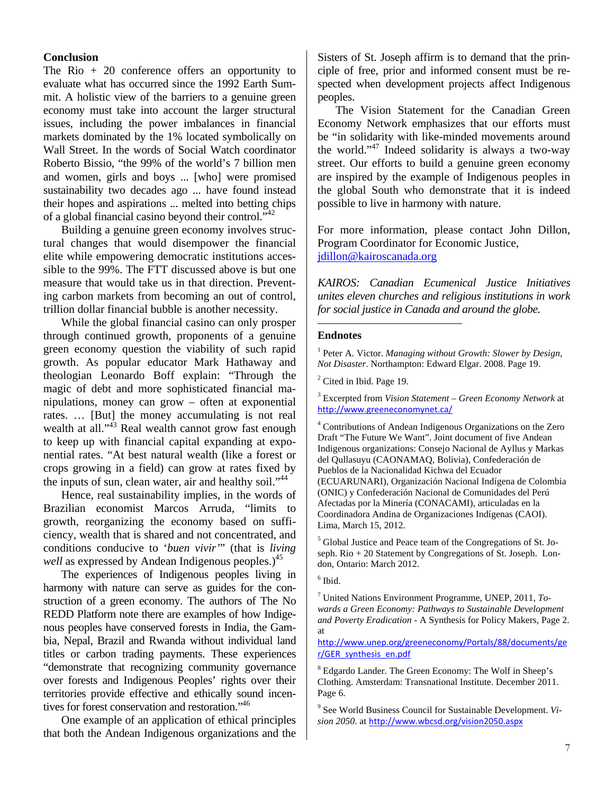#### **Conclusion**

The Rio  $+20$  conference offers an opportunity to evaluate what has occurred since the 1992 Earth Summit. A holistic view of the barriers to a genuine green economy must take into account the larger structural issues, including the power imbalances in financial markets dominated by the 1% located symbolically on Wall Street. In the words of Social Watch coordinator Roberto Bissio, "the 99% of the world's 7 billion men and women, girls and boys ... [who] were promised sustainability two decades ago ... have found instead their hopes and aspirations ... melted into betting chips of a global financial casino beyond their control."[42](#page-7-41) 

 Building a genuine green economy involves structural changes that would disempower the financial elite while empowering democratic institutions accessible to the 99%. The FTT discussed above is but one measure that would take us in that direction. Preventing carbon markets from becoming an out of control, trillion dollar financial bubble is another necessity.

 While the global financial casino can only prosper through continued growth, proponents of a genuine green economy question the viability of such rapid growth. As popular educator Mark Hathaway and theologian Leonardo Boff explain: "Through the magic of debt and more sophisticated financial manipulations, money can grow – often at exponential rates. … [But] the money accumulating is not real wealth at all."<sup>43</sup> Real wealth cannot grow fast enough to keep up with financial capital expanding at exponential rates. "At best natural wealth (like a forest or crops growing in a field) can grow at rates fixed by the inputs of sun, clean water, air and healthy soil."<sup>[44](#page-7-43)</sup>

 Hence, real sustainability implies, in the words of Brazilian economist Marcos Arruda, "limits to growth, reorganizing the economy based on sufficiency, wealth that is shared and not concentrated, and conditions conducive to '*buen vivir'*" (that is *living well* as expressed by Andean Indigenous peoples.)<sup>45</sup>

 The experiences of Indigenous peoples living in harmony with nature can serve as guides for the construction of a green economy. The authors of The No REDD Platform note there are examples of how Indigenous peoples have conserved forests in India, the Gambia, Nepal, Brazil and Rwanda without individual land titles or carbon trading payments. These experiences "demonstrate that recognizing community governance over forests and Indigenous Peoples' rights over their territories provide effective and ethically sound incentives for forest conservation and restoration."<sup>46</sup>

 One example of an application of ethical principles that both the Andean Indigenous organizations and the

Sisters of St. Joseph affirm is to demand that the principle of free, prior and informed consent must be respected when development projects affect Indigenous peoples.

 The Vision Statement for the Canadian Green Economy Network emphasizes that our efforts must be "in solidarity with like-minded movements around the world."[47](#page-7-46) Indeed solidarity is always a two-way street. Our efforts to build a genuine green economy are inspired by the example of Indigenous peoples in the global South who demonstrate that it is indeed possible to live in harmony with nature.

For more information, please contact John Dillon, Program Coordinator for Economic Justice, [jdillon@kairoscanada.org](mailto:jdillon@kairoscanada.org) 

*KAIROS: Canadian Ecumenical Justice Initiatives unites eleven churches and religious institutions in work for social justice in Canada and around the globe.*

#### **Endnotes**

-

<sup>1</sup> Peter A. Victor. *Managing without Growth: Slower by Design, Not Disaster*. Northampton: Edward Elgar. 2008. Page 19.

<sup>2</sup> Cited in Ibid. Page 19.

3 Excerpted from *Vision Statement – Green Economy Network* at <http://www.greeneconomynet.ca/>

<sup>5</sup> Global Justice and Peace team of the Congregations of St. Joseph. Rio + 20 Statement by Congregations of St. Joseph. London, Ontario: March 2012.

7 United Nations Environment Programme, UNEP, 2011, *Towards a Green Economy: Pathways to Sustainable Development and Poverty Eradication* - A Synthesis for Policy Makers, Page 2. at

[http://www.unep.org/greeneconomy/Portals/88/documents/ge](http://www.unep.org/greeneconomy/Portals/88/documents/ger/GER_synthesis_en.pdf) [r/GER\\_synthesis\\_en.pdf](http://www.unep.org/greeneconomy/Portals/88/documents/ger/GER_synthesis_en.pdf)

<sup>8</sup> Edgardo Lander. The Green Economy: The Wolf in Sheep's Clothing. Amsterdam: Transnational Institute. December 2011. Page 6.

9 See World Business Council for Sustainable Development. *Vision 2050*. at <http://www.wbcsd.org/vision2050.aspx>

<sup>4</sup> Contributions of Andean Indigenous Organizations on the Zero Draft "The Future We Want". Joint document of five Andean Indigenous organizations: Consejo Nacional de Ayllus y Markas del Qullasuyu (CAONAMAQ, Bolivia), Confederación de Pueblos de la Nacionalidad Kichwa del Ecuador (ECUARUNARI), Organización Nacional Indígena de Colombia (ONIC) y Confederación Nacional de Comunidades del Perú Afectadas por la Minería (CONACAMI), articuladas en la Coordinadora Andina de Organizaciones Indígenas (CAOI). Lima, March 15, 2012.

 $<sup>6</sup>$  Ibid.</sup>